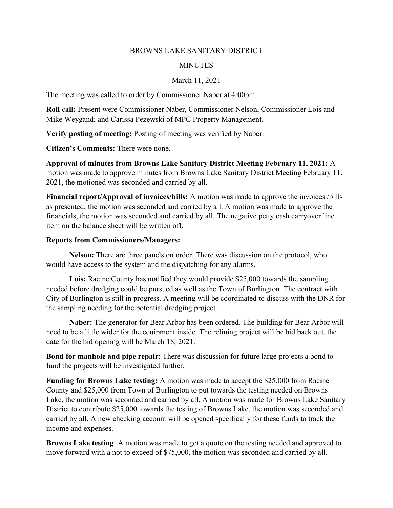## BROWNS LAKE SANITARY DISTRICT

## **MINUTES**

## March 11, 2021

The meeting was called to order by Commissioner Naber at 4:00pm.

Roll call: Present were Commissioner Naber, Commissioner Nelson, Commissioner Lois and Mike Weygand; and Carissa Pezewski of MPC Property Management.

Verify posting of meeting: Posting of meeting was verified by Naber.

Citizen's Comments: There were none.

Approval of minutes from Browns Lake Sanitary District Meeting February 11, 2021: A motion was made to approve minutes from Browns Lake Sanitary District Meeting February 11, 2021, the motioned was seconded and carried by all.

Financial report/Approval of invoices/bills: A motion was made to approve the invoices /bills as presented; the motion was seconded and carried by all. A motion was made to approve the financials, the motion was seconded and carried by all. The negative petty cash carryover line item on the balance sheet will be written off.

## Reports from Commissioners/Managers:

Nelson: There are three panels on order. There was discussion on the protocol, who would have access to the system and the dispatching for any alarms.

Lois: Racine County has notified they would provide \$25,000 towards the sampling needed before dredging could be pursued as well as the Town of Burlington. The contract with City of Burlington is still in progress. A meeting will be coordinated to discuss with the DNR for the sampling needing for the potential dredging project.

Naber: The generator for Bear Arbor has been ordered. The building for Bear Arbor will need to be a little wider for the equipment inside. The relining project will be bid back out, the date for the bid opening will be March 18, 2021.

Bond for manhole and pipe repair: There was discussion for future large projects a bond to fund the projects will be investigated further.

Funding for Browns Lake testing: A motion was made to accept the \$25,000 from Racine County and \$25,000 from Town of Burlington to put towards the testing needed on Browns Lake, the motion was seconded and carried by all. A motion was made for Browns Lake Sanitary District to contribute \$25,000 towards the testing of Browns Lake, the motion was seconded and carried by all. A new checking account will be opened specifically for these funds to track the income and expenses.

Browns Lake testing: A motion was made to get a quote on the testing needed and approved to move forward with a not to exceed of \$75,000, the motion was seconded and carried by all.